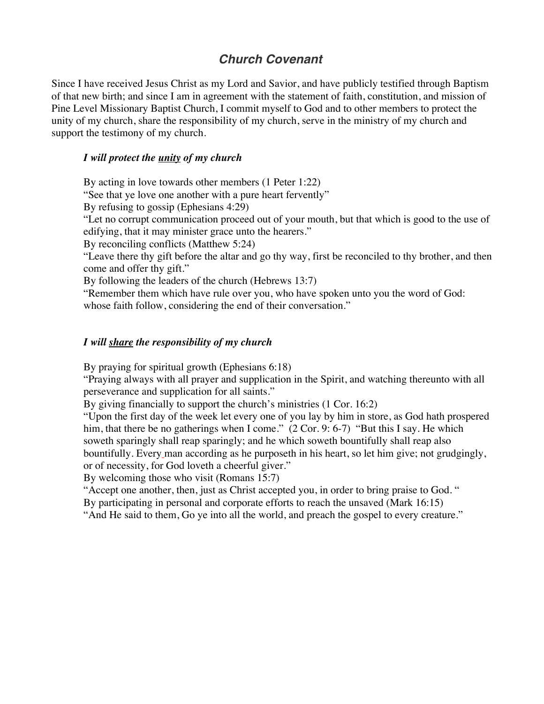# *Church Covenant*

Since I have received Jesus Christ as my Lord and Savior, and have publicly testified through Baptism of that new birth; and since I am in agreement with the statement of faith, constitution, and mission of Pine Level Missionary Baptist Church, I commit myself to God and to other members to protect the unity of my church, share the responsibility of my church, serve in the ministry of my church and support the testimony of my church.

# *I will protect the unity of my church*

By acting in love towards other members (1 Peter 1:22)

"See that ye love one another with a pure heart fervently"

By refusing to gossip (Ephesians 4:29)

"Let no corrupt communication proceed out of your mouth, but that which is good to the use of edifying, that it may minister grace unto the hearers."

By reconciling conflicts (Matthew 5:24)

"Leave there thy gift before the altar and go thy way, first be reconciled to thy brother, and then come and offer thy gift."

By following the leaders of the church (Hebrews 13:7)

"Remember them which have rule over you, who have spoken unto you the word of God: whose faith follow, considering the end of their conversation."

### *I will share the responsibility of my church*

By praying for spiritual growth (Ephesians 6:18)

"Praying always with all prayer and supplication in the Spirit, and watching thereunto with all perseverance and supplication for all saints."

By giving financially to support the church's ministries (1 Cor. 16:2)

"Upon the first day of the week let every one of you lay by him in store, as God hath prospered him, that there be no gatherings when I come." (2 Cor. 9: 6-7) "But this I say. He which soweth sparingly shall reap sparingly; and he which soweth bountifully shall reap also bountifully. Every man according as he purposeth in his heart, so let him give; not grudgingly, or of necessity, for God loveth a cheerful giver."

By welcoming those who visit (Romans 15:7)

"Accept one another, then, just as Christ accepted you, in order to bring praise to God. " By participating in personal and corporate efforts to reach the unsaved (Mark 16:15)

"And He said to them, Go ye into all the world, and preach the gospel to every creature."